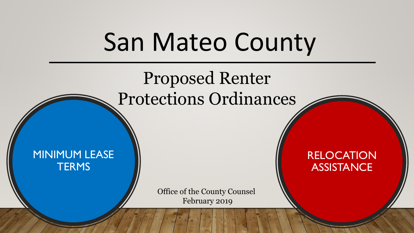### San Mateo County

### Proposed Renter Protections Ordinances

#### MINIMUM LEASE **TERMS**

Office of the County Counsel February 2019

RELOCATION **ASSISTANCE**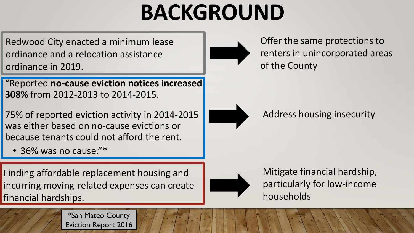### **BACKGROUND**

Redwood City enacted a minimum lease ordinance and a relocation assistance ordinance in 2019.

"Reported **no-cause eviction notices increased 308%** from 2012-2013 to 2014-2015.

- 75% of reported eviction activity in 2014-2015 was either based on no-cause evictions or because tenants could not afford the rent.
	- 36% was no cause."\*

Finding affordable replacement housing and incurring moving-related expenses can create financial hardships.

Offer the same protections to renters in unincorporated areas of the County



Address housing insecurity



Mitigate financial hardship, particularly for low-income households



\*San Mateo County Eviction Report 2016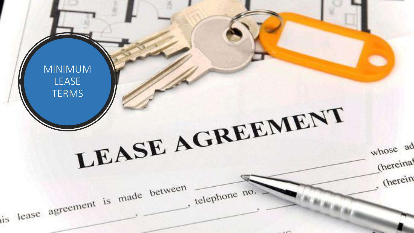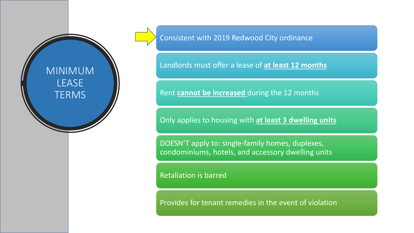#### MINIMUM LEASE **TERMS**

Consistent with 2019 Redwood City ordinance

Landlords must offer a lease of **at least 12 months**

Rent **cannot be increased** during the 12 months

Only applies to housing with **at least 3 dwelling units**

DOESN'T apply to: single-family homes, duplexes, condominiums, hotels, and accessory dwelling units

Retaliation is barred

Provides for tenant remedies in the event of violation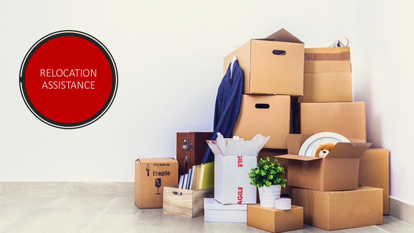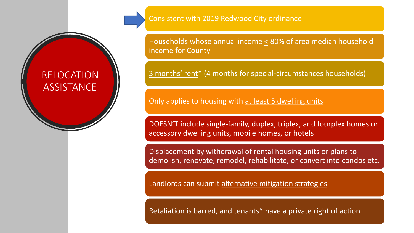#### RELOCATION **ASSISTANCE**

Consistent with 2019 Redwood City ordinance

Households whose annual income  $\leq$  80% of area median household income for County

3 months' rent\* (4 months for special-circumstances households)

Only applies to housing with at least 5 dwelling units

DOESN'T include single-family, duplex, triplex, and fourplex homes or accessory dwelling units, mobile homes, or hotels

Displacement by withdrawal of rental housing units or plans to demolish, renovate, remodel, rehabilitate, or convert into condos etc.

Landlords can submit alternative mitigation strategies

Retaliation is barred, and tenants\* have a private right of action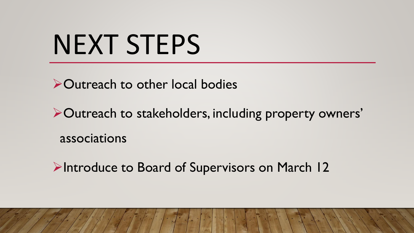## NEXT STEPS

➢Outreach to other local bodies

➢Outreach to stakeholders, including property owners' associations

➢Introduce to Board of Supervisors on March 12